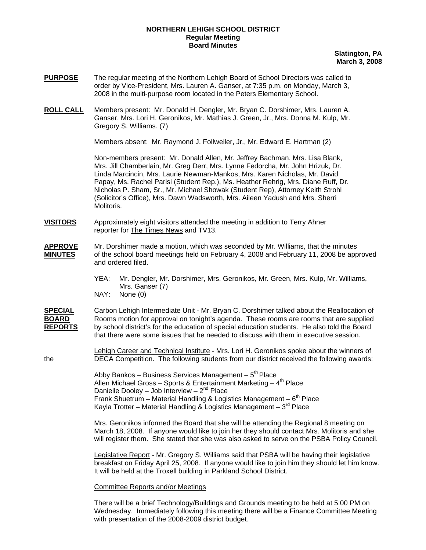## **NORTHERN LEHIGH SCHOOL DISTRICT Regular Meeting Board Minutes**

**Slatington, PA March 3, 2008**

- **PURPOSE** The regular meeting of the Northern Lehigh Board of School Directors was called to order by Vice-President, Mrs. Lauren A. Ganser, at 7:35 p.m. on Monday, March 3, 2008 in the multi-purpose room located in the Peters Elementary School.
- **ROLL CALL** Members present: Mr. Donald H. Dengler, Mr. Bryan C. Dorshimer, Mrs. Lauren A. Ganser, Mrs. Lori H. Geronikos, Mr. Mathias J. Green, Jr., Mrs. Donna M. Kulp, Mr. Gregory S. Williams. (7)

Members absent: Mr. Raymond J. Follweiler, Jr., Mr. Edward E. Hartman (2)

Non-members present: Mr. Donald Allen, Mr. Jeffrey Bachman, Mrs. Lisa Blank, Mrs. Jill Chamberlain, Mr. Greg Derr, Mrs. Lynne Fedorcha, Mr. John Hrizuk, Dr. Linda Marcincin, Mrs. Laurie Newman-Mankos, Mrs. Karen Nicholas, Mr. David Papay, Ms. Rachel Parisi (Student Rep.), Ms. Heather Rehrig, Mrs. Diane Ruff, Dr. Nicholas P. Sham, Sr., Mr. Michael Showak (Student Rep), Attorney Keith Strohl (Solicitor's Office), Mrs. Dawn Wadsworth, Mrs. Aileen Yadush and Mrs. Sherri Molitoris.

- **VISITORS** Approximately eight visitors attended the meeting in addition to Terry Ahner reporter for The Times News and TV13.
- **APPROVE** Mr. Dorshimer made a motion, which was seconded by Mr. Williams, that the minutes **MINUTES** of the school board meetings held on February 4, 2008 and February 11, 2008 be approportionof the school board meetings held on February 4, 2008 and February 11, 2008 be approved and ordered filed.
	- YEA: Mr. Dengler, Mr. Dorshimer, Mrs. Geronikos, Mr. Green, Mrs. Kulp, Mr. Williams, Mrs. Ganser (7)<br>NAY: None (0)
	- None (0)

**SPECIAL** Carbon Lehigh Intermediate Unit - Mr. Bryan C. Dorshimer talked about the Reallocation of **BOARD** Rooms motion for approval on tonight's agenda. These rooms are rooms that are supplied **REPORTS** by school district's for the education of special education students. He also told the Board that there were some issues that he needed to discuss with them in executive session.

Lehigh Career and Technical Institute - Mrs. Lori H. Geronikos spoke about the winners of the DECA Competition. The following students from our district received the following awards:

> Abby Bankos – Business Services Management –  $5<sup>th</sup>$  Place Allen Michael Gross - Sports & Entertainment Marketing -  $4<sup>th</sup>$  Place Danielle Dooley – Job Interview –  $2<sup>nd</sup>$  Place Frank Shuetrum – Material Handling & Logistics Management –  $6<sup>th</sup>$  Place Kayla Trotter – Material Handling & Logistics Management –  $3^{rd}$  Place

 Mrs. Geronikos informed the Board that she will be attending the Regional 8 meeting on March 18, 2008. If anyone would like to join her they should contact Mrs. Molitoris and she will register them. She stated that she was also asked to serve on the PSBA Policy Council.

 Legislative Report - Mr. Gregory S. Williams said that PSBA will be having their legislative breakfast on Friday April 25, 2008. If anyone would like to join him they should let him know. It will be held at the Troxell building in Parkland School District.

Committee Reports and/or Meetings

 There will be a brief Technology/Buildings and Grounds meeting to be held at 5:00 PM on Wednesday. Immediately following this meeting there will be a Finance Committee Meeting with presentation of the 2008-2009 district budget.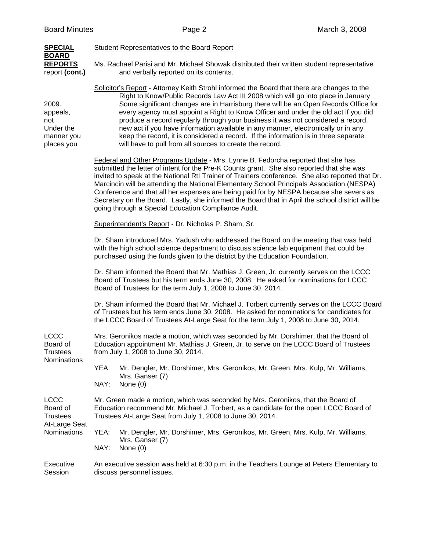| <b>SPECIAL</b>                                                             | Student Representatives to the Board Report                                                                                                                                                                                                                                                                                                                                                                                                                                                                                                                                                                                                                                               |  |  |  |  |
|----------------------------------------------------------------------------|-------------------------------------------------------------------------------------------------------------------------------------------------------------------------------------------------------------------------------------------------------------------------------------------------------------------------------------------------------------------------------------------------------------------------------------------------------------------------------------------------------------------------------------------------------------------------------------------------------------------------------------------------------------------------------------------|--|--|--|--|
| <b>BOARD</b><br><b>REPORTS</b><br>report (cont.)                           | Ms. Rachael Parisi and Mr. Michael Showak distributed their written student representative<br>and verbally reported on its contents.                                                                                                                                                                                                                                                                                                                                                                                                                                                                                                                                                      |  |  |  |  |
| 2009.<br>appeals,<br>not<br>Under the<br>manner you<br>places you          | Solicitor's Report - Attorney Keith Strohl informed the Board that there are changes to the<br>Right to Know/Public Records Law Act III 2008 which will go into place in January<br>Some significant changes are in Harrisburg there will be an Open Records Office for<br>every agency must appoint a Right to Know Officer and under the old act if you did<br>produce a record regularly through your business it was not considered a record.<br>new act if you have information available in any manner, electronically or in any<br>keep the record, it is considered a record. If the information is in three separate<br>will have to pull from all sources to create the record. |  |  |  |  |
|                                                                            | Federal and Other Programs Update - Mrs. Lynne B. Fedorcha reported that she has<br>submitted the letter of intent for the Pre-K Counts grant. She also reported that she was<br>invited to speak at the National RtI Trainer of Trainers conference. She also reported that Dr.<br>Marcincin will be attending the National Elementary School Principals Association (NESPA)<br>Conference and that all her expenses are being paid for by NESPA because she severs as<br>Secretary on the Board. Lastly, she informed the Board that in April the school district will be<br>going through a Special Education Compliance Audit.                                                        |  |  |  |  |
|                                                                            | Superintendent's Report - Dr. Nicholas P. Sham, Sr.                                                                                                                                                                                                                                                                                                                                                                                                                                                                                                                                                                                                                                       |  |  |  |  |
|                                                                            | Dr. Sham introduced Mrs. Yadush who addressed the Board on the meeting that was held<br>with the high school science department to discuss science lab equipment that could be<br>purchased using the funds given to the district by the Education Foundation.                                                                                                                                                                                                                                                                                                                                                                                                                            |  |  |  |  |
|                                                                            | Dr. Sham informed the Board that Mr. Mathias J. Green, Jr. currently serves on the LCCC<br>Board of Trustees but his term ends June 30, 2008. He asked for nominations for LCCC<br>Board of Trustees for the term July 1, 2008 to June 30, 2014.                                                                                                                                                                                                                                                                                                                                                                                                                                          |  |  |  |  |
|                                                                            | Dr. Sham informed the Board that Mr. Michael J. Torbert currently serves on the LCCC Board<br>of Trustees but his term ends June 30, 2008. He asked for nominations for candidates for<br>the LCCC Board of Trustees At-Large Seat for the term July 1, 2008 to June 30, 2014.                                                                                                                                                                                                                                                                                                                                                                                                            |  |  |  |  |
| <b>LCCC</b><br>Board of<br><b>Trustees</b><br>Nominations                  | Mrs. Geronikos made a motion, which was seconded by Mr. Dorshimer, that the Board of<br>Education appointment Mr. Mathias J. Green, Jr. to serve on the LCCC Board of Trustees<br>from July 1, 2008 to June 30, 2014.                                                                                                                                                                                                                                                                                                                                                                                                                                                                     |  |  |  |  |
|                                                                            | YEA:<br>Mr. Dengler, Mr. Dorshimer, Mrs. Geronikos, Mr. Green, Mrs. Kulp, Mr. Williams,<br>Mrs. Ganser (7)<br>NAY:<br>None $(0)$                                                                                                                                                                                                                                                                                                                                                                                                                                                                                                                                                          |  |  |  |  |
| <b>LCCC</b><br>Board of<br><b>Trustees</b><br>At-Large Seat<br>Nominations | Mr. Green made a motion, which was seconded by Mrs. Geronikos, that the Board of<br>Education recommend Mr. Michael J. Torbert, as a candidate for the open LCCC Board of<br>Trustees At-Large Seat from July 1, 2008 to June 30, 2014.                                                                                                                                                                                                                                                                                                                                                                                                                                                   |  |  |  |  |
|                                                                            | YEA:<br>Mr. Dengler, Mr. Dorshimer, Mrs. Geronikos, Mr. Green, Mrs. Kulp, Mr. Williams,<br>Mrs. Ganser (7)<br>NAY:<br>None $(0)$                                                                                                                                                                                                                                                                                                                                                                                                                                                                                                                                                          |  |  |  |  |
| Executive<br>Session                                                       | An executive session was held at 6:30 p.m. in the Teachers Lounge at Peters Elementary to<br>discuss personnel issues.                                                                                                                                                                                                                                                                                                                                                                                                                                                                                                                                                                    |  |  |  |  |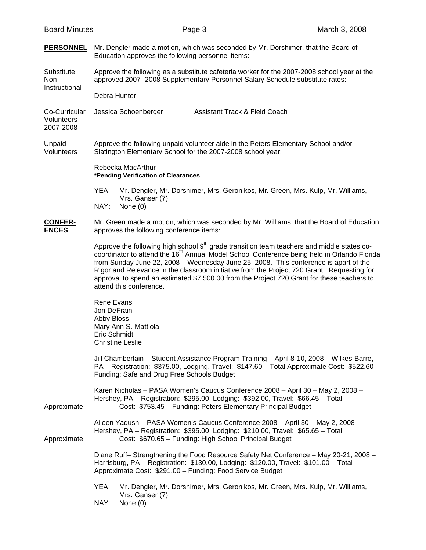| <b>Board Minutes</b>                     |                                                                                                                                                                                                                                                                                                                                                                                                                                                                                                                                  | Page 3                                                       | March 3, 2008                                                                                                                                                                |  |  |
|------------------------------------------|----------------------------------------------------------------------------------------------------------------------------------------------------------------------------------------------------------------------------------------------------------------------------------------------------------------------------------------------------------------------------------------------------------------------------------------------------------------------------------------------------------------------------------|--------------------------------------------------------------|------------------------------------------------------------------------------------------------------------------------------------------------------------------------------|--|--|
| <b>PERSONNEL</b>                         | Mr. Dengler made a motion, which was seconded by Mr. Dorshimer, that the Board of<br>Education approves the following personnel items:                                                                                                                                                                                                                                                                                                                                                                                           |                                                              |                                                                                                                                                                              |  |  |
| Substitute<br>Non-<br>Instructional      | Approve the following as a substitute cafeteria worker for the 2007-2008 school year at the<br>approved 2007-2008 Supplementary Personnel Salary Schedule substitute rates:                                                                                                                                                                                                                                                                                                                                                      |                                                              |                                                                                                                                                                              |  |  |
|                                          | Debra Hunter                                                                                                                                                                                                                                                                                                                                                                                                                                                                                                                     |                                                              |                                                                                                                                                                              |  |  |
| Co-Curricular<br>Volunteers<br>2007-2008 | <b>Assistant Track &amp; Field Coach</b><br>Jessica Schoenberger                                                                                                                                                                                                                                                                                                                                                                                                                                                                 |                                                              |                                                                                                                                                                              |  |  |
| Unpaid<br>Volunteers                     | Approve the following unpaid volunteer aide in the Peters Elementary School and/or<br>Slatington Elementary School for the 2007-2008 school year:                                                                                                                                                                                                                                                                                                                                                                                |                                                              |                                                                                                                                                                              |  |  |
|                                          | Rebecka MacArthur<br>*Pending Verification of Clearances                                                                                                                                                                                                                                                                                                                                                                                                                                                                         |                                                              |                                                                                                                                                                              |  |  |
|                                          | YEA:                                                                                                                                                                                                                                                                                                                                                                                                                                                                                                                             |                                                              | Mr. Dengler, Mr. Dorshimer, Mrs. Geronikos, Mr. Green, Mrs. Kulp, Mr. Williams,                                                                                              |  |  |
|                                          | Mrs. Ganser (7)<br>NAY:<br>None $(0)$                                                                                                                                                                                                                                                                                                                                                                                                                                                                                            |                                                              |                                                                                                                                                                              |  |  |
| <b>CONFER-</b><br><b>ENCES</b>           | approves the following conference items:                                                                                                                                                                                                                                                                                                                                                                                                                                                                                         |                                                              | Mr. Green made a motion, which was seconded by Mr. Williams, that the Board of Education                                                                                     |  |  |
|                                          | Approve the following high school 9 <sup>th</sup> grade transition team teachers and middle states co-<br>coordinator to attend the 16 <sup>th</sup> Annual Model School Conference being held in Orlando Florida<br>from Sunday June 22, 2008 - Wednesday June 25, 2008. This conference is apart of the<br>Rigor and Relevance in the classroom initiative from the Project 720 Grant. Requesting for<br>approval to spend an estimated \$7,500.00 from the Project 720 Grant for these teachers to<br>attend this conference. |                                                              |                                                                                                                                                                              |  |  |
|                                          | <b>Rene Evans</b><br>Jon DeFrain<br>Abby Bloss<br>Mary Ann S.-Mattiola<br>Eric Schmidt<br><b>Christine Leslie</b>                                                                                                                                                                                                                                                                                                                                                                                                                |                                                              |                                                                                                                                                                              |  |  |
|                                          | Jill Chamberlain - Student Assistance Program Training - April 8-10, 2008 - Wilkes-Barre,<br>PA - Registration: \$375.00, Lodging, Travel: \$147.60 - Total Approximate Cost: \$522.60 -<br>Funding: Safe and Drug Free Schools Budget                                                                                                                                                                                                                                                                                           |                                                              |                                                                                                                                                                              |  |  |
| Approximate                              |                                                                                                                                                                                                                                                                                                                                                                                                                                                                                                                                  | Cost: \$753.45 - Funding: Peters Elementary Principal Budget | Karen Nicholas - PASA Women's Caucus Conference 2008 - April 30 - May 2, 2008 -<br>Hershey, PA - Registration: \$295.00, Lodging: \$392.00, Travel: \$66.45 - Total          |  |  |
| Approximate                              |                                                                                                                                                                                                                                                                                                                                                                                                                                                                                                                                  | Cost: \$670.65 - Funding: High School Principal Budget       | Aileen Yadush - PASA Women's Caucus Conference 2008 - April 30 - May 2, 2008 -<br>Hershey, PA - Registration: \$395.00, Lodging: \$210.00, Travel: \$65.65 - Total           |  |  |
|                                          | Approximate Cost: \$291.00 - Funding: Food Service Budget                                                                                                                                                                                                                                                                                                                                                                                                                                                                        |                                                              | Diane Ruff-Strengthening the Food Resource Safety Net Conference - May 20-21, 2008 -<br>Harrisburg, PA - Registration: \$130.00, Lodging: \$120.00, Travel: \$101.00 - Total |  |  |
|                                          | YEA:<br>Mrs. Ganser (7)<br>NAY:<br>None (0)                                                                                                                                                                                                                                                                                                                                                                                                                                                                                      |                                                              | Mr. Dengler, Mr. Dorshimer, Mrs. Geronikos, Mr. Green, Mrs. Kulp, Mr. Williams,                                                                                              |  |  |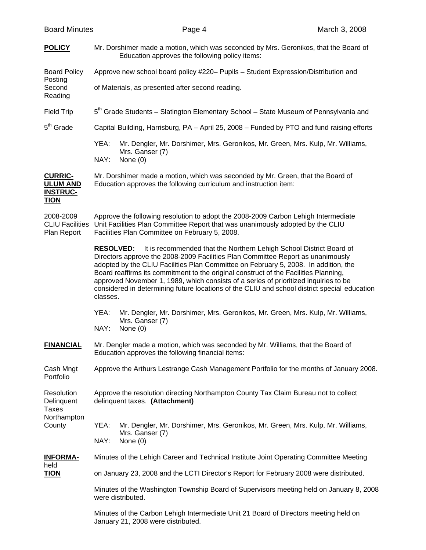|  | <b>Board Minutes</b> |
|--|----------------------|
|--|----------------------|

| <b>POLICY</b>                                                       | Mr. Dorshimer made a motion, which was seconded by Mrs. Geronikos, that the Board of<br>Education approves the following policy items:                                                                                                                                                                                                                                                                                                                                                                                                                        |                                                                                                                            |  |  |
|---------------------------------------------------------------------|---------------------------------------------------------------------------------------------------------------------------------------------------------------------------------------------------------------------------------------------------------------------------------------------------------------------------------------------------------------------------------------------------------------------------------------------------------------------------------------------------------------------------------------------------------------|----------------------------------------------------------------------------------------------------------------------------|--|--|
| <b>Board Policy</b>                                                 | Approve new school board policy #220- Pupils - Student Expression/Distribution and                                                                                                                                                                                                                                                                                                                                                                                                                                                                            |                                                                                                                            |  |  |
| Posting<br>Second<br>Reading                                        | of Materials, as presented after second reading.                                                                                                                                                                                                                                                                                                                                                                                                                                                                                                              |                                                                                                                            |  |  |
| <b>Field Trip</b>                                                   | 5 <sup>th</sup> Grade Students - Slatington Elementary School - State Museum of Pennsylvania and                                                                                                                                                                                                                                                                                                                                                                                                                                                              |                                                                                                                            |  |  |
| $5th$ Grade                                                         | Capital Building, Harrisburg, PA - April 25, 2008 - Funded by PTO and fund raising efforts                                                                                                                                                                                                                                                                                                                                                                                                                                                                    |                                                                                                                            |  |  |
|                                                                     | YEA:                                                                                                                                                                                                                                                                                                                                                                                                                                                                                                                                                          | Mr. Dengler, Mr. Dorshimer, Mrs. Geronikos, Mr. Green, Mrs. Kulp, Mr. Williams,<br>Mrs. Ganser (7)                         |  |  |
|                                                                     | NAY:<br>None (0)                                                                                                                                                                                                                                                                                                                                                                                                                                                                                                                                              |                                                                                                                            |  |  |
| <b>CURRIC-</b><br><b>ULUM AND</b><br><b>INSTRUC-</b><br><b>TION</b> | Mr. Dorshimer made a motion, which was seconded by Mr. Green, that the Board of<br>Education approves the following curriculum and instruction item:                                                                                                                                                                                                                                                                                                                                                                                                          |                                                                                                                            |  |  |
| 2008-2009<br><b>CLIU Facilities</b><br>Plan Report                  | Approve the following resolution to adopt the 2008-2009 Carbon Lehigh Intermediate<br>Unit Facilities Plan Committee Report that was unanimously adopted by the CLIU<br>Facilities Plan Committee on February 5, 2008.                                                                                                                                                                                                                                                                                                                                        |                                                                                                                            |  |  |
|                                                                     | <b>RESOLVED:</b><br>It is recommended that the Northern Lehigh School District Board of<br>Directors approve the 2008-2009 Facilities Plan Committee Report as unanimously<br>adopted by the CLIU Facilities Plan Committee on February 5, 2008. In addition, the<br>Board reaffirms its commitment to the original construct of the Facilities Planning,<br>approved November 1, 1989, which consists of a series of prioritized inquiries to be<br>considered in determining future locations of the CLIU and school district special education<br>classes. |                                                                                                                            |  |  |
|                                                                     | YEA:<br>NAY:                                                                                                                                                                                                                                                                                                                                                                                                                                                                                                                                                  | Mr. Dengler, Mr. Dorshimer, Mrs. Geronikos, Mr. Green, Mrs. Kulp, Mr. Williams,<br>Mrs. Ganser (7)<br>None (0)             |  |  |
| <b>FINANCIAL</b>                                                    | Mr. Dengler made a motion, which was seconded by Mr. Williams, that the Board of<br>Education approves the following financial items:                                                                                                                                                                                                                                                                                                                                                                                                                         |                                                                                                                            |  |  |
| Cash Mngt<br>Portfolio                                              | Approve the Arthurs Lestrange Cash Management Portfolio for the months of January 2008.                                                                                                                                                                                                                                                                                                                                                                                                                                                                       |                                                                                                                            |  |  |
| Resolution<br>Delinquent<br>Taxes                                   | Approve the resolution directing Northampton County Tax Claim Bureau not to collect<br>delinquent taxes. (Attachment)                                                                                                                                                                                                                                                                                                                                                                                                                                         |                                                                                                                            |  |  |
| Northampton<br>County                                               | YEA:                                                                                                                                                                                                                                                                                                                                                                                                                                                                                                                                                          | Mr. Dengler, Mr. Dorshimer, Mrs. Geronikos, Mr. Green, Mrs. Kulp, Mr. Williams,                                            |  |  |
|                                                                     | NAY:                                                                                                                                                                                                                                                                                                                                                                                                                                                                                                                                                          | Mrs. Ganser (7)<br>None $(0)$                                                                                              |  |  |
| <b>INFORMA-</b>                                                     | Minutes of the Lehigh Career and Technical Institute Joint Operating Committee Meeting                                                                                                                                                                                                                                                                                                                                                                                                                                                                        |                                                                                                                            |  |  |
| held<br><u>TION</u>                                                 | on January 23, 2008 and the LCTI Director's Report for February 2008 were distributed.                                                                                                                                                                                                                                                                                                                                                                                                                                                                        |                                                                                                                            |  |  |
|                                                                     | Minutes of the Washington Township Board of Supervisors meeting held on January 8, 2008<br>were distributed.                                                                                                                                                                                                                                                                                                                                                                                                                                                  |                                                                                                                            |  |  |
|                                                                     |                                                                                                                                                                                                                                                                                                                                                                                                                                                                                                                                                               | Minutes of the Carbon Lehigh Intermediate Unit 21 Board of Directors meeting held on<br>January 21, 2008 were distributed. |  |  |